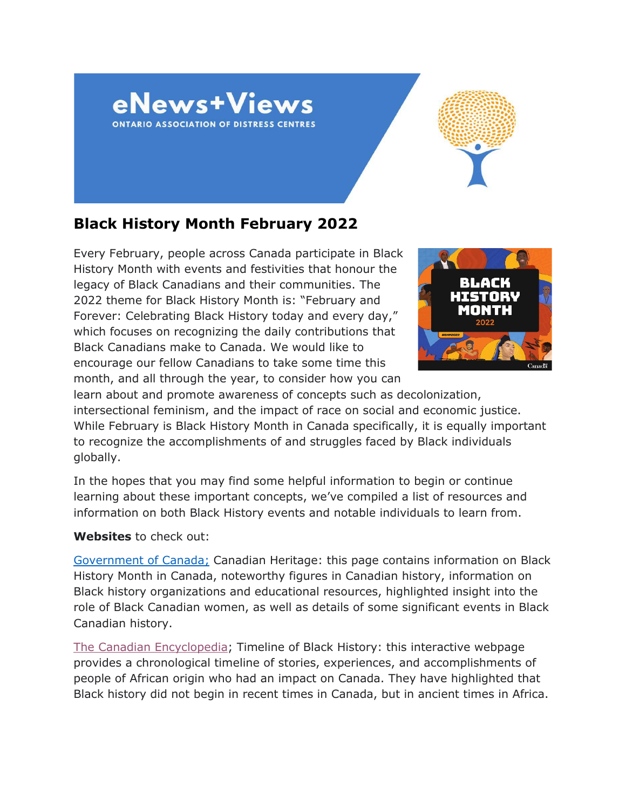



# **Black History Month February 2022**

Every February, people across Canada participate in Black History Month with events and festivities that honour the legacy of Black Canadians and their communities. The 2022 theme for Black History Month is: "February and Forever: Celebrating Black History today and every day," which focuses on recognizing the daily contributions that Black Canadians make to Canada. We would like to encourage our fellow Canadians to take some time this month, and all through the year, to consider how you can



learn about and promote awareness of concepts such as decolonization, intersectional feminism, and the impact of race on social and economic justice. While February is Black History Month in Canada specifically, it is equally important to recognize the accomplishments of and struggles faced by Black individuals globally.

In the hopes that you may find some helpful information to begin or continue learning about these important concepts, we've compiled a list of resources and information on both Black History events and notable individuals to learn from.

### **Websites** to check out:

[Government of Canada;](https://www.canada.ca/en/canadian-heritage/campaigns/black-history-month.html) Canadian Heritage: this page contains information on Black History Month in Canada, noteworthy figures in Canadian history, information on Black history organizations and educational resources, highlighted insight into the role of Black Canadian women, as well as details of some significant events in Black Canadian history.

[The Canadian Encyclopedia;](https://www.thecanadianencyclopedia.ca/en/timeline/black-history) Timeline of Black History: this interactive webpage provides a chronological timeline of stories, experiences, and accomplishments of people of African origin who had an impact on Canada. They have highlighted that Black history did not begin in recent times in Canada, but in ancient times in Africa.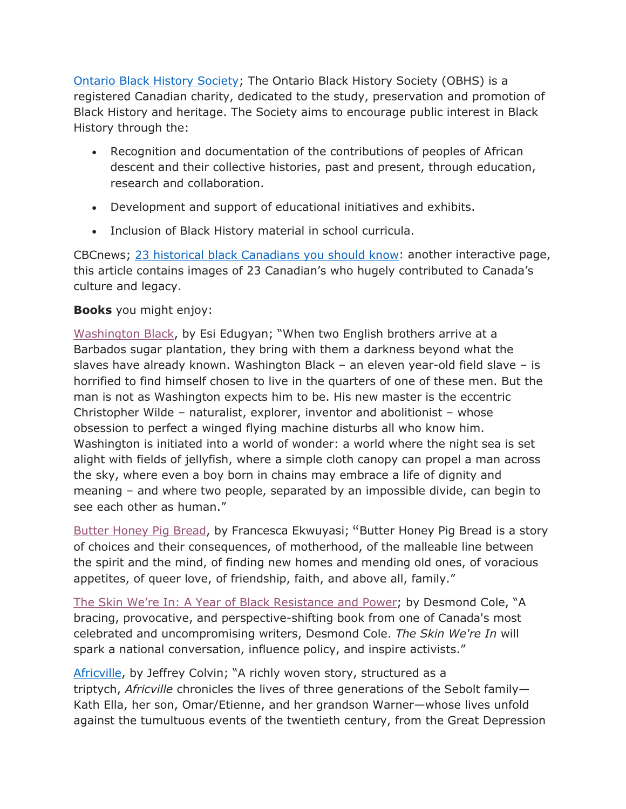[Ontario Black History Society;](https://blackhistorysociety.ca/) The Ontario Black History Society (OBHS) is a registered Canadian charity, dedicated to the study, preservation and promotion of Black History and heritage. The Society aims to encourage public interest in Black History through the:

- Recognition and documentation of the contributions of peoples of African descent and their collective histories, past and present, through education, research and collaboration.
- Development and support of educational initiatives and exhibits.
- Inclusion of Black History material in school curricula.

CBCnews; [23 historical black Canadians you should know:](https://www.cbc.ca/news2/interactives/black-history-month/) another interactive page, this article contains images of 23 Canadian's who hugely contributed to Canada's culture and legacy.

# **Books** you might enjoy:

[Washington Black,](https://www.harpercollins.ca/9781443459587/washington-black/) by Esi Edugyan; "When two English brothers arrive at a Barbados sugar plantation, they bring with them a darkness beyond what the slaves have already known. Washington Black – an eleven year-old field slave – is horrified to find himself chosen to live in the quarters of one of these men. But the man is not as Washington expects him to be. His new master is the eccentric Christopher Wilde – naturalist, explorer, inventor and abolitionist – whose obsession to perfect a winged flying machine disturbs all who know him. Washington is initiated into a world of wonder: a world where the night sea is set alight with fields of jellyfish, where a simple cloth canopy can propel a man across the sky, where even a boy born in chains may embrace a life of dignity and meaning – and where two people, separated by an impossible divide, can begin to see each other as human."

[Butter Honey Pig Bread,](https://arsenalpulp.com/Books/B/Butter-Honey-Pig-Bread) by Francesca Ekwuyasi; "Butter Honey Pig Bread is a story of choices and their consequences, of motherhood, of the malleable line between the spirit and the mind, of finding new homes and mending old ones, of voracious appetites, of queer love, of friendship, faith, and above all, family."

[The Skin We're In: A Year of Black Resistance and Power;](https://www.penguinrandomhouse.ca/books/536075/the-skin-were-in-by-desmond-cole/9780385686341) by Desmond Cole, "A bracing, provocative, and perspective-shifting book from one of Canada's most celebrated and uncompromising writers, Desmond Cole. *The Skin We're In* will spark a national conversation, influence policy, and inspire activists."

[Africville,](https://www.harpercollins.ca/9781443458474/africville/) by Jeffrey Colvin; "A richly woven story, structured as a triptych, *Africville* chronicles the lives of three generations of the Sebolt family— Kath Ella, her son, Omar/Etienne, and her grandson Warner—whose lives unfold against the tumultuous events of the twentieth century, from the Great Depression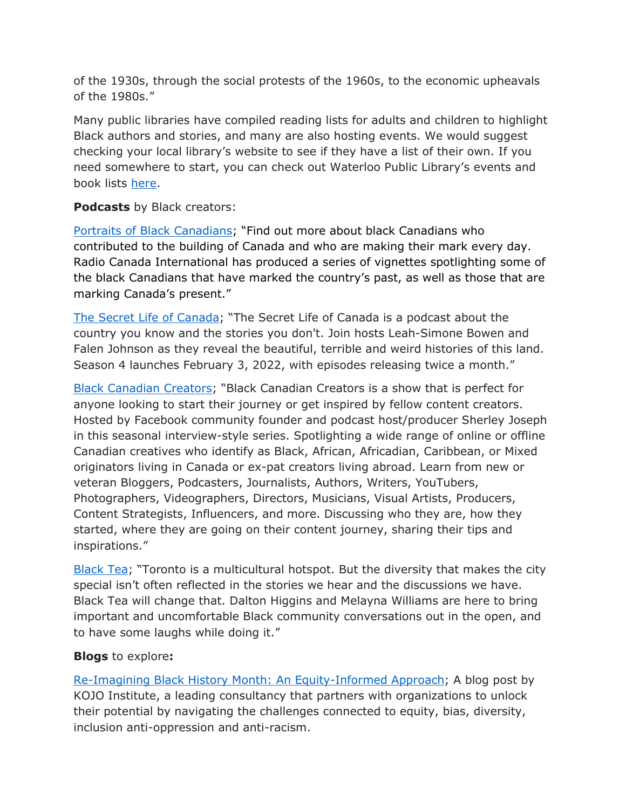of the 1930s, through the social protests of the 1960s, to the economic upheavals of the 1980s."

Many public libraries have compiled reading lists for adults and children to highlight Black authors and stories, and many are also hosting events. We would suggest checking your local library's website to see if they have a list of their own. If you need somewhere to start, you can check out Waterloo Public Library's events and book lists [here.](https://www.wpl.ca/BHM)

**Podcasts** by Black creators:

[Portraits of Black Canadians;](https://www.rcinet.ca/en/podcasts/portraits-of-black-canadians/) "Find out more about black Canadians who contributed to the building of Canada and who are making their mark every day. Radio Canada International has produced a series of vignettes spotlighting some of the black Canadians that have marked the country's past, as well as those that are marking Canada's present."

[The Secret Life of Canada;](https://www.cbc.ca/listen/cbc-podcasts/203-the-secret-life-of-canada) "The Secret Life of Canada is a podcast about the country you know and the stories you don't. Join hosts Leah-Simone Bowen and Falen Johnson as they reveal the beautiful, terrible and weird histories of this land. Season 4 launches February 3, 2022, with episodes releasing twice a month."

[Black Canadian Creators;](https://www.listennotes.com/podcasts/black-canadian-creators-the-chonilla-network-vy51r7RMfeF/) "Black Canadian Creators is a show that is perfect for anyone looking to start their journey or get inspired by fellow content creators. Hosted by Facebook community founder and podcast host/producer Sherley Joseph in this seasonal interview-style series. Spotlighting a wide range of online or offline Canadian creatives who identify as Black, African, Africadian, Caribbean, or Mixed originators living in Canada or ex-pat creators living abroad. Learn from new or veteran Bloggers, Podcasters, Journalists, Authors, Writers, YouTubers, Photographers, Videographers, Directors, Musicians, Visual Artists, Producers, Content Strategists, Influencers, and more. Discussing who they are, how they started, where they are going on their content journey, sharing their tips and inspirations."

[Black Tea;](https://frequencypodcastnetwork.com/podcasts/black-tea/) "Toronto is a multicultural hotspot. But the diversity that makes the city special isn't often reflected in the stories we hear and the discussions we have. Black Tea will change that. Dalton Higgins and Melayna Williams are here to bring important and uncomfortable Black community conversations out in the open, and to have some laughs while doing it."

# **Blogs** to explore**:**

[Re-Imagining Black History Month: An Equity-Informed Approach;](https://kojoinstitute.com/re-imagining-black-history-month-an-equity-informed-approach/) A blog post by KOJO Institute, a leading consultancy that partners with organizations to unlock their potential by navigating the challenges connected to equity, bias, diversity, inclusion anti-oppression and anti-racism.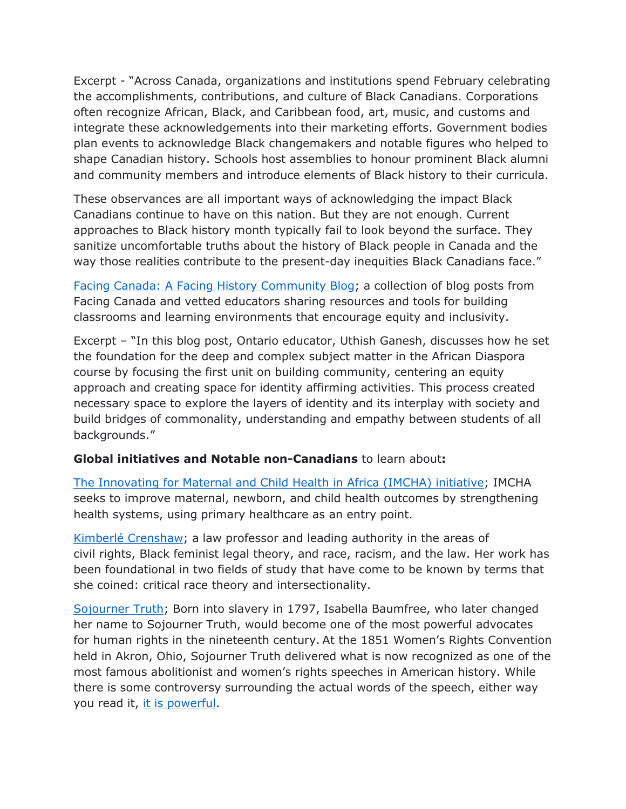Excerpt - "Across Canada, organizations and institutions spend February celebrating the accomplishments, contributions, and culture of Black Canadians. Corporations often recognize African, Black, and Caribbean food, art, music, and customs and integrate these acknowledgements into their marketing efforts. Government bodies plan events to acknowledge Black changemakers and notable figures who helped to shape Canadian history. Schools host assemblies to honour prominent Black alumni and community members and introduce elements of Black history to their curricula.

These observances are all important ways of acknowledging the impact Black Canadians continue to have on this nation. But they are not enough. Current approaches to Black history month typically fail to look beyond the surface. They sanitize uncomfortable truths about the history of Black people in Canada and the way those realities contribute to the present-day inequities Black Canadians face."

[Facing Canada: A Facing History Community Blog;](https://facingcanada.facinghistory.org/topic/black-history) a collection of blog posts from Facing Canada and vetted educators sharing resources and tools for building classrooms and learning environments that encourage equity and inclusivity.

Excerpt – "In this blog post, Ontario educator, Uthish Ganesh, discusses how he set the foundation for the deep and complex subject matter in the African Diaspora course by focusing the first unit on building community, centering an equity approach and creating space for identity affirming activities. This process created necessary space to explore the layers of identity and its interplay with society and build bridges of commonality, understanding and empathy between students of all backgrounds."

### **Global initiatives and Notable non-Canadians** to learn about**:**

[The Innovating for Maternal and Child Health in Africa \(IMCHA\) initiative;](https://www.idrc.ca/en/initiative/innovating-maternal-and-child-health-africa) IMCHA seeks to improve maternal, newborn, and child health outcomes by strengthening health systems, using primary healthcare as an entry point.

[Kimberlé Crenshaw;](https://www.ted.com/speakers/kimberle_crenshaw) a law professor and leading authority in the areas of civil rights, Black feminist legal theory, and race, racism, and the law. Her work has been foundational in two fields of study that have come to be known by terms that she coined: critical race theory and intersectionality.

[Sojourner Truth;](https://www.nps.gov/articles/sojourner-truth.htm) Born into slavery in 1797, Isabella Baumfree, who later changed her name to Sojourner Truth, would become one of the most powerful advocates for human rights in the nineteenth century. At the 1851 Women's Rights Convention held in Akron, Ohio, Sojourner Truth delivered what is now recognized as one of the most famous abolitionist and women's rights speeches in American history. While there is some controversy surrounding the actual words of the speech, either way you read it, [it is powerful.](https://www.thesojournertruthproject.com/compare-the-speeches/)